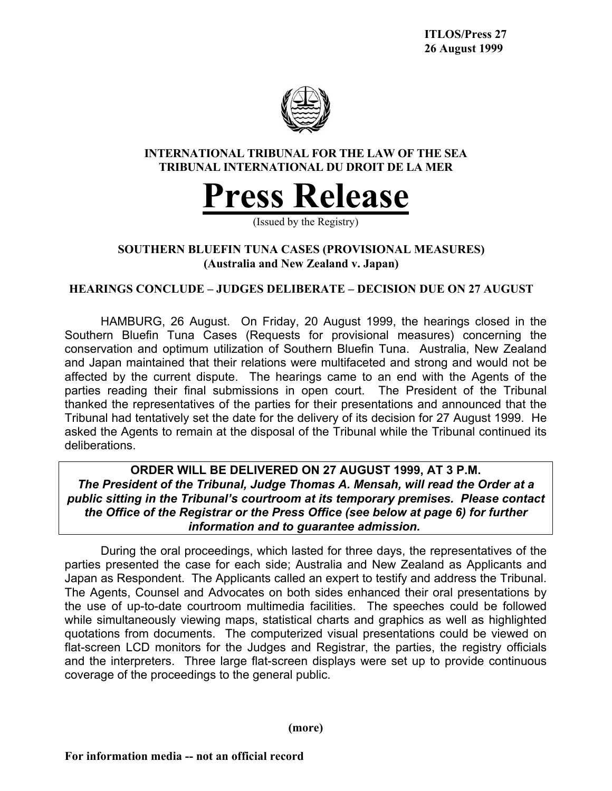

# **INTERNATIONAL TRIBUNAL FOR THE LAW OF THE SEA TRIBUNAL INTERNATIONAL DU DROIT DE LA MER**



(Issued by the Registry)

# **SOUTHERN BLUEFIN TUNA CASES (PROVISIONAL MEASURES) (Australia and New Zealand v. Japan)**

## **HEARINGS CONCLUDE – JUDGES DELIBERATE – DECISION DUE ON 27 AUGUST**

HAMBURG, 26 August. On Friday, 20 August 1999, the hearings closed in the Southern Bluefin Tuna Cases (Requests for provisional measures) concerning the conservation and optimum utilization of Southern Bluefin Tuna. Australia, New Zealand and Japan maintained that their relations were multifaceted and strong and would not be affected by the current dispute. The hearings came to an end with the Agents of the parties reading their final submissions in open court. The President of the Tribunal thanked the representatives of the parties for their presentations and announced that the Tribunal had tentatively set the date for the delivery of its decision for 27 August 1999. He asked the Agents to remain at the disposal of the Tribunal while the Tribunal continued its deliberations.

**ORDER WILL BE DELIVERED ON 27 AUGUST 1999, AT 3 P.M.** *The President of the Tribunal, Judge Thomas A. Mensah, will read the Order at a public sitting in the Tribunal's courtroom at its temporary premises. Please contact the Office of the Registrar or the Press Office (see below at page 6) for further information and to guarantee admission.*

During the oral proceedings, which lasted for three days, the representatives of the parties presented the case for each side; Australia and New Zealand as Applicants and Japan as Respondent. The Applicants called an expert to testify and address the Tribunal. The Agents, Counsel and Advocates on both sides enhanced their oral presentations by the use of up-to-date courtroom multimedia facilities. The speeches could be followed while simultaneously viewing maps, statistical charts and graphics as well as highlighted quotations from documents. The computerized visual presentations could be viewed on flat-screen LCD monitors for the Judges and Registrar, the parties, the registry officials and the interpreters. Three large flat-screen displays were set up to provide continuous coverage of the proceedings to the general public.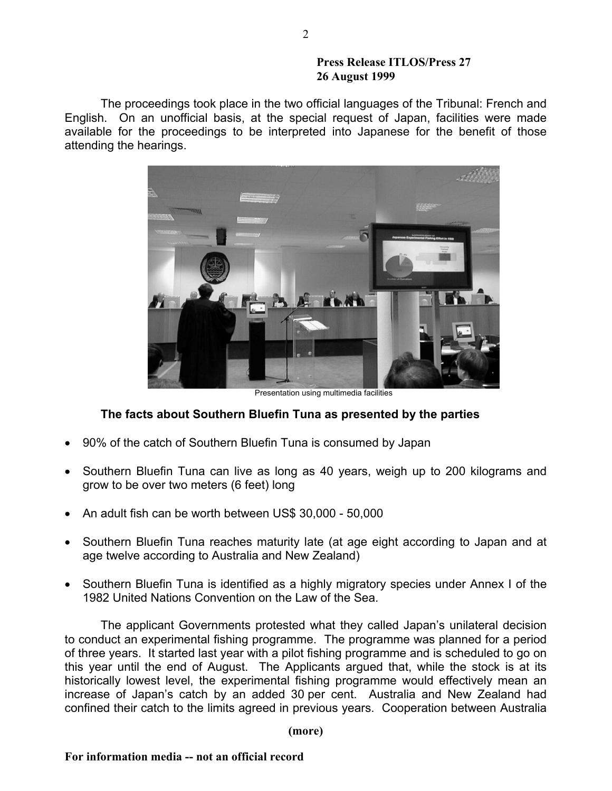The proceedings took place in the two official languages of the Tribunal: French and English. On an unofficial basis, at the special request of Japan, facilities were made available for the proceedings to be interpreted into Japanese for the benefit of those attending the hearings.



Presentation using multimedia facilities

## **The facts about Southern Bluefin Tuna as presented by the parties**

- 90% of the catch of Southern Bluefin Tuna is consumed by Japan
- Southern Bluefin Tuna can live as long as 40 years, weigh up to 200 kilograms and grow to be over two meters (6 feet) long
- An adult fish can be worth between US\$ 30,000 50,000
- Southern Bluefin Tuna reaches maturity late (at age eight according to Japan and at age twelve according to Australia and New Zealand)
- Southern Bluefin Tuna is identified as a highly migratory species under Annex I of the 1982 United Nations Convention on the Law of the Sea.

The applicant Governments protested what they called Japan's unilateral decision to conduct an experimental fishing programme. The programme was planned for a period of three years. It started last year with a pilot fishing programme and is scheduled to go on this year until the end of August. The Applicants argued that, while the stock is at its historically lowest level, the experimental fishing programme would effectively mean an increase of Japan's catch by an added 30 per cent. Australia and New Zealand had confined their catch to the limits agreed in previous years. Cooperation between Australia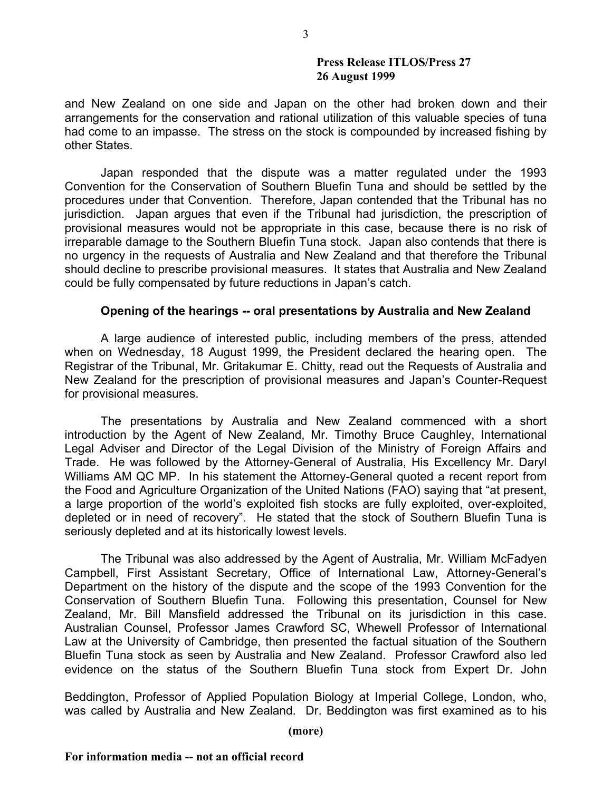and New Zealand on one side and Japan on the other had broken down and their arrangements for the conservation and rational utilization of this valuable species of tuna had come to an impasse. The stress on the stock is compounded by increased fishing by other States.

Japan responded that the dispute was a matter regulated under the 1993 Convention for the Conservation of Southern Bluefin Tuna and should be settled by the procedures under that Convention. Therefore, Japan contended that the Tribunal has no jurisdiction. Japan argues that even if the Tribunal had jurisdiction, the prescription of provisional measures would not be appropriate in this case, because there is no risk of irreparable damage to the Southern Bluefin Tuna stock. Japan also contends that there is no urgency in the requests of Australia and New Zealand and that therefore the Tribunal should decline to prescribe provisional measures. It states that Australia and New Zealand could be fully compensated by future reductions in Japan's catch.

### **Opening of the hearings -- oral presentations by Australia and New Zealand**

A large audience of interested public, including members of the press, attended when on Wednesday, 18 August 1999, the President declared the hearing open. The Registrar of the Tribunal, Mr. Gritakumar E. Chitty, read out the Requests of Australia and New Zealand for the prescription of provisional measures and Japan's Counter-Request for provisional measures.

The presentations by Australia and New Zealand commenced with a short introduction by the Agent of New Zealand, Mr. Timothy Bruce Caughley, International Legal Adviser and Director of the Legal Division of the Ministry of Foreign Affairs and Trade. He was followed by the Attorney-General of Australia, His Excellency Mr. Daryl Williams AM QC MP. In his statement the Attorney-General quoted a recent report from the Food and Agriculture Organization of the United Nations (FAO) saying that "at present, a large proportion of the world's exploited fish stocks are fully exploited, over-exploited, depleted or in need of recovery". He stated that the stock of Southern Bluefin Tuna is seriously depleted and at its historically lowest levels.

The Tribunal was also addressed by the Agent of Australia, Mr. William McFadyen Campbell, First Assistant Secretary, Office of International Law, Attorney-General's Department on the history of the dispute and the scope of the 1993 Convention for the Conservation of Southern Bluefin Tuna. Following this presentation, Counsel for New Zealand, Mr. Bill Mansfield addressed the Tribunal on its jurisdiction in this case. Australian Counsel, Professor James Crawford SC, Whewell Professor of International Law at the University of Cambridge, then presented the factual situation of the Southern Bluefin Tuna stock as seen by Australia and New Zealand. Professor Crawford also led evidence on the status of the Southern Bluefin Tuna stock from Expert Dr. John

Beddington, Professor of Applied Population Biology at Imperial College, London, who, was called by Australia and New Zealand. Dr. Beddington was first examined as to his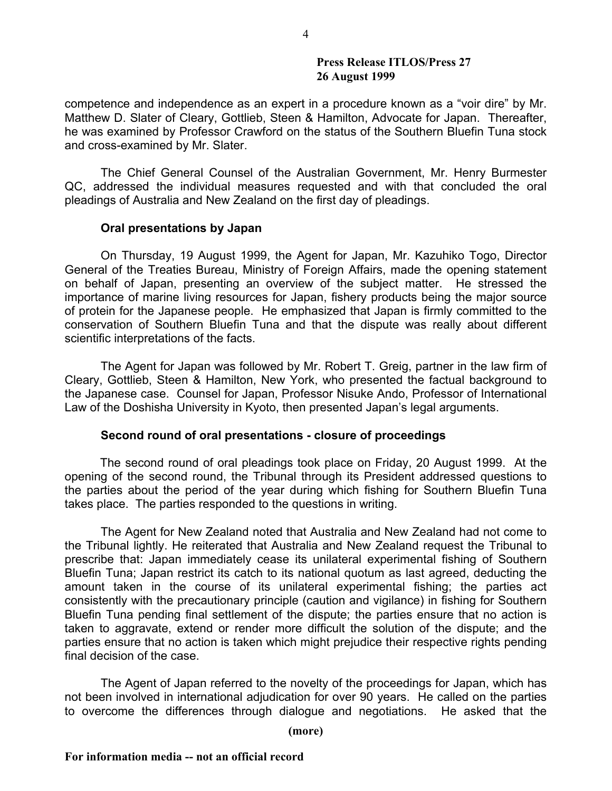competence and independence as an expert in a procedure known as a "voir dire" by Mr. Matthew D. Slater of Cleary, Gottlieb, Steen & Hamilton, Advocate for Japan. Thereafter, he was examined by Professor Crawford on the status of the Southern Bluefin Tuna stock and cross-examined by Mr. Slater.

The Chief General Counsel of the Australian Government, Mr. Henry Burmester QC, addressed the individual measures requested and with that concluded the oral pleadings of Australia and New Zealand on the first day of pleadings.

### **Oral presentations by Japan**

On Thursday, 19 August 1999, the Agent for Japan, Mr. Kazuhiko Togo, Director General of the Treaties Bureau, Ministry of Foreign Affairs, made the opening statement on behalf of Japan, presenting an overview of the subject matter. He stressed the importance of marine living resources for Japan, fishery products being the major source of protein for the Japanese people. He emphasized that Japan is firmly committed to the conservation of Southern Bluefin Tuna and that the dispute was really about different scientific interpretations of the facts.

The Agent for Japan was followed by Mr. Robert T. Greig, partner in the law firm of Cleary, Gottlieb, Steen & Hamilton, New York, who presented the factual background to the Japanese case. Counsel for Japan, Professor Nisuke Ando, Professor of International Law of the Doshisha University in Kyoto, then presented Japan's legal arguments.

### **Second round of oral presentations - closure of proceedings**

The second round of oral pleadings took place on Friday, 20 August 1999. At the opening of the second round, the Tribunal through its President addressed questions to the parties about the period of the year during which fishing for Southern Bluefin Tuna takes place. The parties responded to the questions in writing.

The Agent for New Zealand noted that Australia and New Zealand had not come to the Tribunal lightly. He reiterated that Australia and New Zealand request the Tribunal to prescribe that: Japan immediately cease its unilateral experimental fishing of Southern Bluefin Tuna; Japan restrict its catch to its national quotum as last agreed, deducting the amount taken in the course of its unilateral experimental fishing; the parties act consistently with the precautionary principle (caution and vigilance) in fishing for Southern Bluefin Tuna pending final settlement of the dispute; the parties ensure that no action is taken to aggravate, extend or render more difficult the solution of the dispute; and the parties ensure that no action is taken which might prejudice their respective rights pending final decision of the case.

The Agent of Japan referred to the novelty of the proceedings for Japan, which has not been involved in international adjudication for over 90 years. He called on the parties to overcome the differences through dialogue and negotiations. He asked that the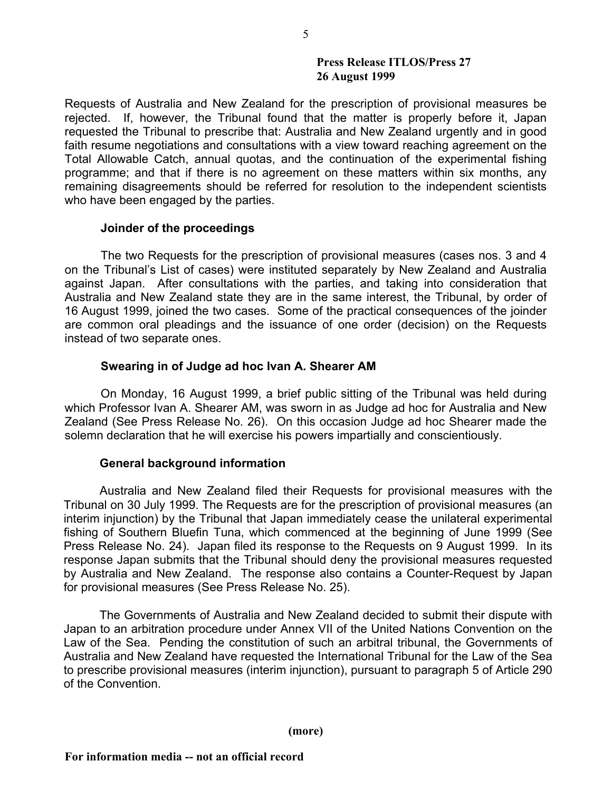Requests of Australia and New Zealand for the prescription of provisional measures be rejected. If, however, the Tribunal found that the matter is properly before it, Japan requested the Tribunal to prescribe that: Australia and New Zealand urgently and in good faith resume negotiations and consultations with a view toward reaching agreement on the Total Allowable Catch, annual quotas, and the continuation of the experimental fishing programme; and that if there is no agreement on these matters within six months, any remaining disagreements should be referred for resolution to the independent scientists who have been engaged by the parties.

### **Joinder of the proceedings**

The two Requests for the prescription of provisional measures (cases nos. 3 and 4 on the Tribunal's List of cases) were instituted separately by New Zealand and Australia against Japan. After consultations with the parties, and taking into consideration that Australia and New Zealand state they are in the same interest, the Tribunal, by order of 16 August 1999, joined the two cases. Some of the practical consequences of the joinder are common oral pleadings and the issuance of one order (decision) on the Requests instead of two separate ones.

## **Swearing in of Judge ad hoc Ivan A. Shearer AM**

On Monday, 16 August 1999, a brief public sitting of the Tribunal was held during which Professor Ivan A. Shearer AM, was sworn in as Judge ad hoc for Australia and New Zealand (See Press Release No. 26). On this occasion Judge ad hoc Shearer made the solemn declaration that he will exercise his powers impartially and conscientiously.

## **General background information**

Australia and New Zealand filed their Requests for provisional measures with the Tribunal on 30 July 1999. The Requests are for the prescription of provisional measures (an interim injunction) by the Tribunal that Japan immediately cease the unilateral experimental fishing of Southern Bluefin Tuna, which commenced at the beginning of June 1999 (See Press Release No. 24). Japan filed its response to the Requests on 9 August 1999. In its response Japan submits that the Tribunal should deny the provisional measures requested by Australia and New Zealand. The response also contains a Counter-Request by Japan for provisional measures (See Press Release No. 25).

The Governments of Australia and New Zealand decided to submit their dispute with Japan to an arbitration procedure under Annex VII of the United Nations Convention on the Law of the Sea. Pending the constitution of such an arbitral tribunal, the Governments of Australia and New Zealand have requested the International Tribunal for the Law of the Sea to prescribe provisional measures (interim injunction), pursuant to paragraph 5 of Article 290 of the Convention.